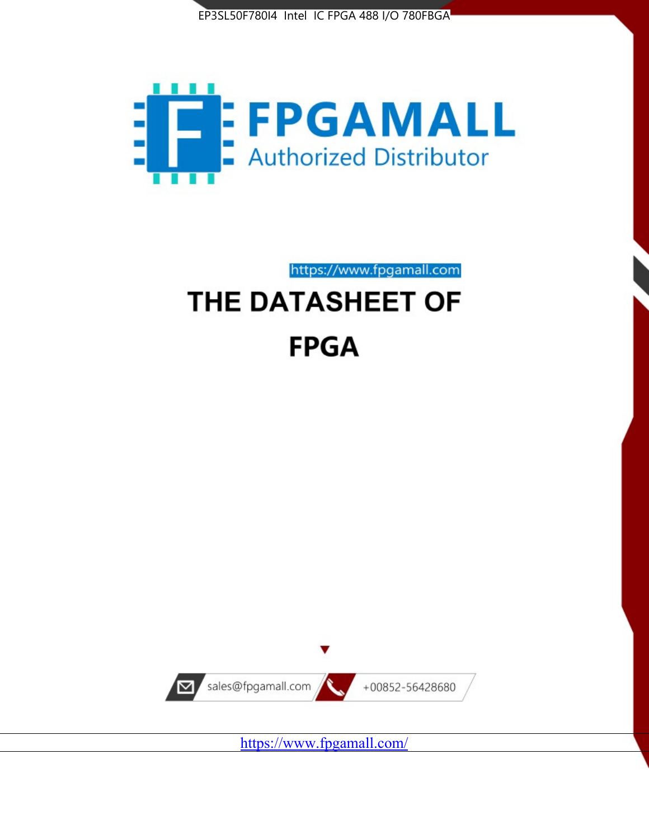



https://www.fpgamall.com

# THE DATASHEET OF **FPGA**



<https://www.fpgamall.com/>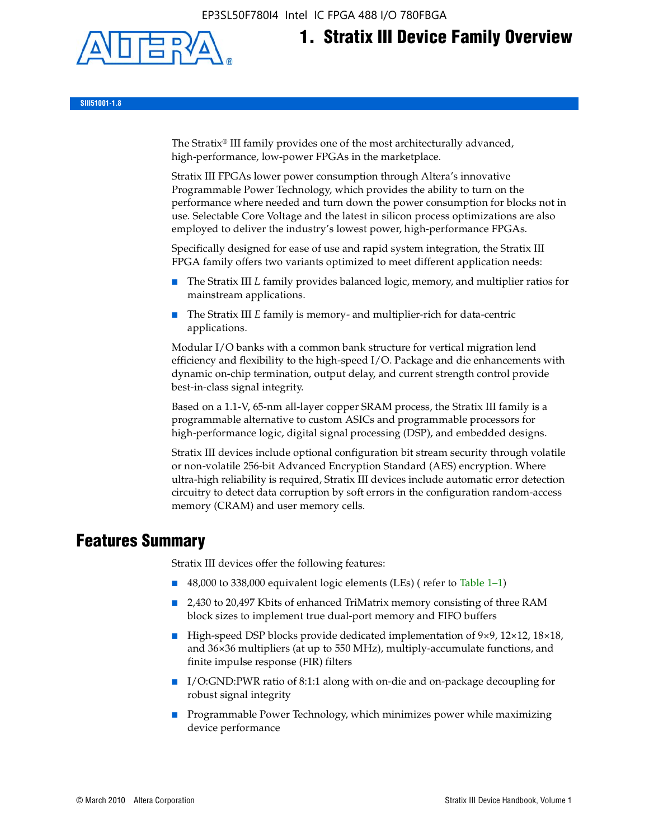EP3SL50F780I4 Intel IC FPGA 488 I/O 780FBGA



# **1. Stratix III Device Family Overview**

**SIII51001-1.8**

The Stratix® III family provides one of the most architecturally advanced, high-performance, low-power FPGAs in the marketplace.

Stratix III FPGAs lower power consumption through Altera's innovative Programmable Power Technology, which provides the ability to turn on the performance where needed and turn down the power consumption for blocks not in use. Selectable Core Voltage and the latest in silicon process optimizations are also employed to deliver the industry's lowest power, high-performance FPGAs.

Specifically designed for ease of use and rapid system integration, the Stratix III FPGA family offers two variants optimized to meet different application needs:

- The Stratix III *L* family provides balanced logic, memory, and multiplier ratios for mainstream applications.
- The Stratix III *E* family is memory- and multiplier-rich for data-centric applications.

Modular I/O banks with a common bank structure for vertical migration lend efficiency and flexibility to the high-speed I/O. Package and die enhancements with dynamic on-chip termination, output delay, and current strength control provide best-in-class signal integrity.

Based on a 1.1-V, 65-nm all-layer copper SRAM process, the Stratix III family is a programmable alternative to custom ASICs and programmable processors for high-performance logic, digital signal processing (DSP), and embedded designs.

Stratix III devices include optional configuration bit stream security through volatile or non-volatile 256-bit Advanced Encryption Standard (AES) encryption. Where ultra-high reliability is required, Stratix III devices include automatic error detection circuitry to detect data corruption by soft errors in the configuration random-access memory (CRAM) and user memory cells.

# **Features Summary**

Stratix III devices offer the following features:

- 48,000 to 338,000 equivalent logic elements (LEs) (refer to Table 1–1)
- 2,430 to 20,497 Kbits of enhanced TriMatrix memory consisting of three RAM block sizes to implement true dual-port memory and FIFO buffers
- High-speed DSP blocks provide dedicated implementation of 9×9, 12×12, 18×18, and 36×36 multipliers (at up to 550 MHz), multiply-accumulate functions, and finite impulse response (FIR) filters
- I/O:GND:PWR ratio of 8:1:1 along with on-die and on-package decoupling for robust signal integrity
- Programmable Power Technology, which minimizes power while maximizing device performance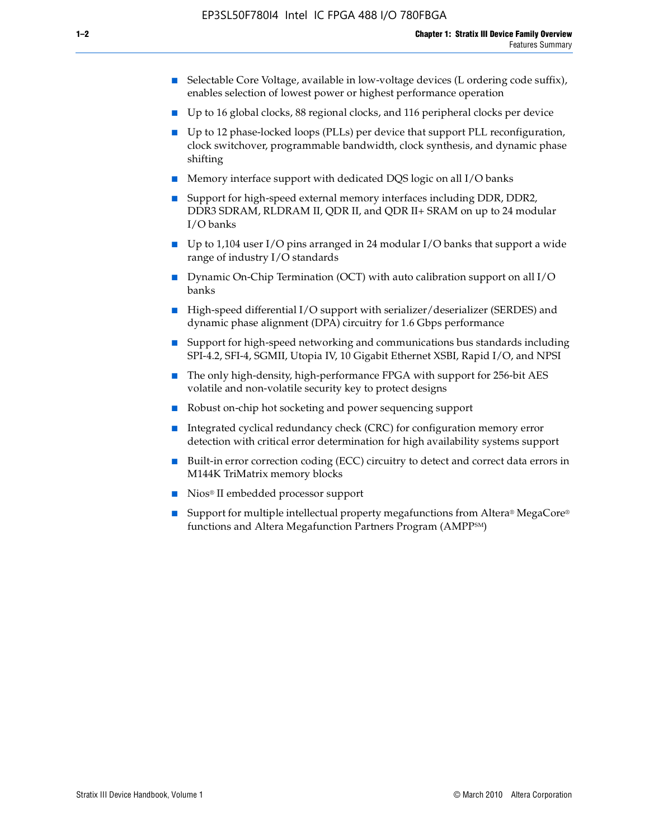- Selectable Core Voltage, available in low-voltage devices (L ordering code suffix), enables selection of lowest power or highest performance operation
- Up to 16 global clocks, 88 regional clocks, and 116 peripheral clocks per device
- Up to 12 phase-locked loops (PLLs) per device that support PLL reconfiguration, clock switchover, programmable bandwidth, clock synthesis, and dynamic phase shifting
- Memory interface support with dedicated DQS logic on all I/O banks
- Support for high-speed external memory interfaces including DDR, DDR2, DDR3 SDRAM, RLDRAM II, QDR II, and QDR II+ SRAM on up to 24 modular I/O banks
- Up to 1,104 user I/O pins arranged in 24 modular I/O banks that support a wide range of industry I/O standards
- Dynamic On-Chip Termination (OCT) with auto calibration support on all  $I/O$ banks
- High-speed differential I/O support with serializer/deserializer (SERDES) and dynamic phase alignment (DPA) circuitry for 1.6 Gbps performance
- Support for high-speed networking and communications bus standards including SPI-4.2, SFI-4, SGMII, Utopia IV, 10 Gigabit Ethernet XSBI, Rapid I/O, and NPSI
- The only high-density, high-performance FPGA with support for 256-bit AES volatile and non-volatile security key to protect designs
- Robust on-chip hot socketing and power sequencing support
- Integrated cyclical redundancy check (CRC) for configuration memory error detection with critical error determination for high availability systems support
- Built-in error correction coding (ECC) circuitry to detect and correct data errors in M144K TriMatrix memory blocks
- Nios<sup>®</sup> II embedded processor support
- Support for multiple intellectual property megafunctions from Altera® MegaCore® functions and Altera Megafunction Partners Program (AMPPSM)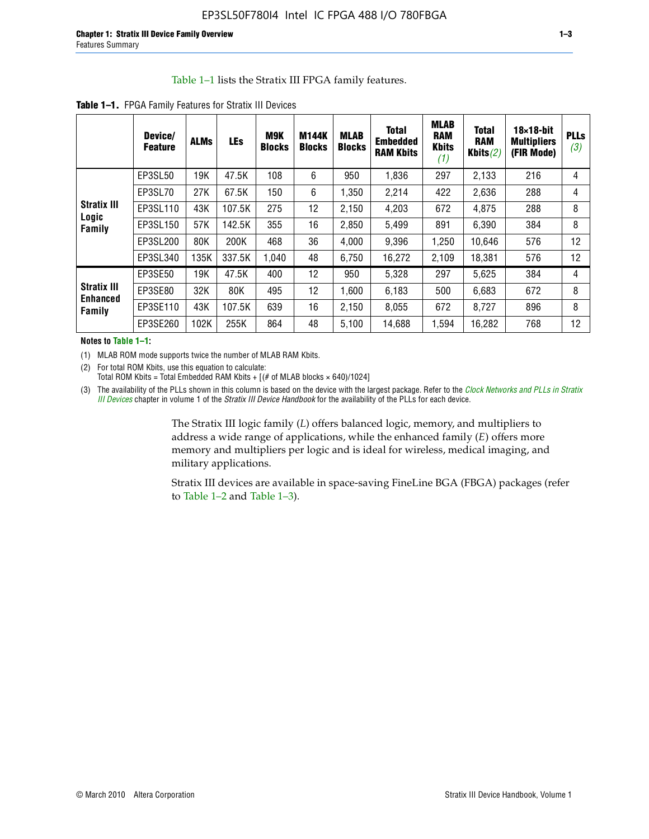#### Table 1–1 lists the Stratix III FPGA family features.

|                                          | Device/<br><b>Feature</b> | <b>ALMs</b> | <b>LEs</b> | <b>M9K</b><br><b>Blocks</b> | <b>M144K</b><br><b>Blocks</b> | <b>MLAB</b><br><b>Blocks</b> | <b>Total</b><br>Embedded<br><b>RAM Kbits</b> | <b>MLAB</b><br><b>RAM</b><br><b>Kbits</b><br>(1) | <b>Total</b><br><b>RAM</b><br>Kbits $(2)$ | $18\times18$ -bit<br><b>Multipliers</b><br>(FIR Mode) | <b>PLLs</b><br>(3) |
|------------------------------------------|---------------------------|-------------|------------|-----------------------------|-------------------------------|------------------------------|----------------------------------------------|--------------------------------------------------|-------------------------------------------|-------------------------------------------------------|--------------------|
|                                          | EP3SL50                   | 19K         | 47.5K      | 108                         | 6                             | 950                          | 1,836                                        | 297                                              | 2,133                                     | 216                                                   | 4                  |
|                                          | EP3SL70                   | 27K         | 67.5K      | 150                         | 6                             | 1,350                        | 2,214                                        | 422                                              | 2,636                                     | 288                                                   | 4                  |
| <b>Stratix III</b>                       | EP3SL110                  | 43K         | 107.5K     | 275                         | 12                            | 2,150                        | 4,203                                        | 672                                              | 4,875                                     | 288                                                   | 8                  |
| Logic<br>Family                          | EP3SL150                  | 57K         | 142.5K     | 355                         | 16                            | 2,850                        | 5,499                                        | 891                                              | 6,390                                     | 384                                                   | 8                  |
|                                          | EP3SL200                  | 80K         | 200K       | 468                         | 36                            | 4,000                        | 9,396                                        | 1,250                                            | 10,646                                    | 576                                                   | 12                 |
|                                          | EP3SL340                  | 135K        | 337.5K     | 1,040                       | 48                            | 6,750                        | 16,272                                       | 2,109                                            | 18,381                                    | 576                                                   | 12                 |
|                                          | EP3SE50                   | 19K         | 47.5K      | 400                         | 12                            | 950                          | 5,328                                        | 297                                              | 5,625                                     | 384                                                   | 4                  |
| <b>Stratix III</b><br>Enhanced<br>Family | EP3SE80                   | 32K         | 80K        | 495                         | 12                            | 1,600                        | 6,183                                        | 500                                              | 6,683                                     | 672                                                   | 8                  |
|                                          | EP3SE110                  | 43K         | 107.5K     | 639                         | 16                            | 2,150                        | 8,055                                        | 672                                              | 8,727                                     | 896                                                   | 8                  |
|                                          | EP3SE260                  | 102K        | 255K       | 864                         | 48                            | 5,100                        | 14,688                                       | 1,594                                            | 16,282                                    | 768                                                   | 12                 |

**Table 1–1.** FPGA Family Features for Stratix III Devices

**Notes to Table 1–1:**

(1) MLAB ROM mode supports twice the number of MLAB RAM Kbits.

(2) For total ROM Kbits, use this equation to calculate: Total ROM Kbits = Total Embedded RAM Kbits +  $[(# of MLAB blocks × 640)/1024]$ 

(3) The availability of the PLLs shown in this column is based on the device with the largest package. Refer to the *[Clock Networks and PLLs in Stratix](http://www.altera.com/literature/hb/stx3/stx3_siii51006.pdf)  [III Devices](http://www.altera.com/literature/hb/stx3/stx3_siii51006.pdf)* chapter in volume 1 of the *Stratix III Device Handbook* for the availability of the PLLs for each device.

> The Stratix III logic family (*L*) offers balanced logic, memory, and multipliers to address a wide range of applications, while the enhanced family (*E*) offers more memory and multipliers per logic and is ideal for wireless, medical imaging, and military applications.

Stratix III devices are available in space-saving FineLine BGA (FBGA) packages (refer to Table 1–2 and Table 1–3).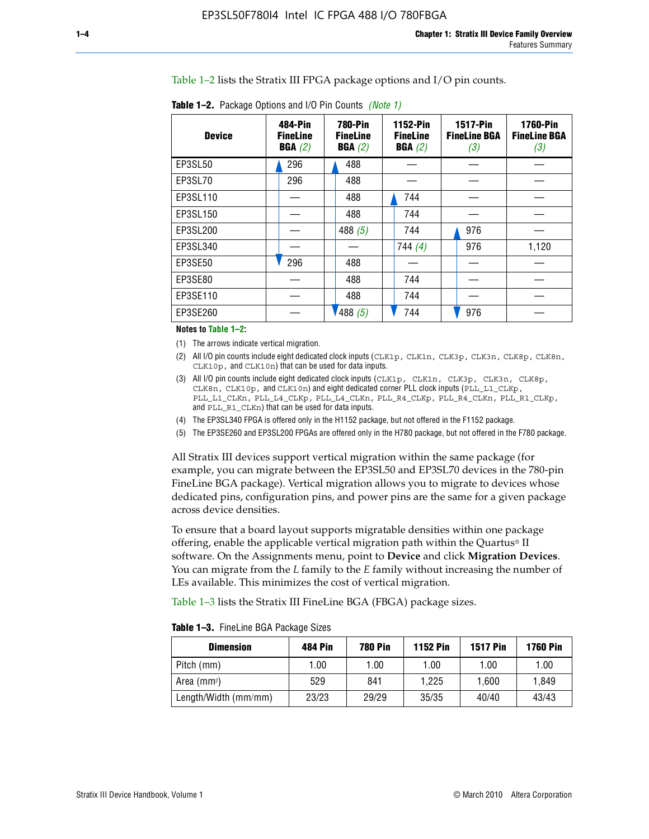Table 1–2 lists the Stratix III FPGA package options and I/O pin counts.

| <b>Device</b> | 484-Pin<br><b>FineLine</b><br>BGA(2) | <b>780-Pin</b><br><b>FineLine</b><br>BGA(2) | 1152-Pin<br><b>FineLine</b><br>BGA(2) | <b>1517-Pin</b><br><b>FineLine BGA</b><br>(3) | <b>1760-Pin</b><br><b>FineLine BGA</b><br>(3) |
|---------------|--------------------------------------|---------------------------------------------|---------------------------------------|-----------------------------------------------|-----------------------------------------------|
| EP3SL50       | 296                                  | 488                                         |                                       |                                               |                                               |
| EP3SL70       | 296                                  | 488                                         |                                       |                                               |                                               |
| EP3SL110      |                                      | 488                                         | 744                                   |                                               |                                               |
| EP3SL150      |                                      | 488                                         | 744                                   |                                               |                                               |
| EP3SL200      |                                      | 488 $(5)$                                   | 744                                   | 976                                           |                                               |
| EP3SL340      |                                      |                                             | 744(4)                                | 976                                           | 1,120                                         |
| EP3SE50       | 296                                  | 488                                         |                                       |                                               |                                               |
| EP3SE80       |                                      | 488                                         | 744                                   |                                               |                                               |
| EP3SE110      |                                      | 488                                         | 744                                   |                                               |                                               |
| EP3SE260      |                                      | '488(5)                                     | 744                                   | 976                                           |                                               |

**Table 1–2.** Package Options and I/O Pin Counts *(Note 1)*

**Notes to Table 1–2:**

(1) The arrows indicate vertical migration.

- (2) All I/O pin counts include eight dedicated clock inputs (CLK1p, CLK1n, CLK3p, CLK3n, CLK8p, CLK8n, CLK10p, and CLK10n) that can be used for data inputs.
- (3) All I/O pin counts include eight dedicated clock inputs (CLK1p, CLK1n, CLK3p, CLK3n, CLK8p, CLK8n, CLK10p, and CLK10n) and eight dedicated corner PLL clock inputs (PLL\_L1\_CLKp, PLL\_L1\_CLKn, PLL\_L4\_CLKp, PLL\_L4\_CLKn, PLL\_R4\_CLKp, PLL\_R4\_CLKn, PLL\_R1\_CLKp, and PLL\_R1\_CLKn) that can be used for data inputs.
- (4) The EP3SL340 FPGA is offered only in the H1152 package, but not offered in the F1152 package.
- (5) The EP3SE260 and EP3SL200 FPGAs are offered only in the H780 package, but not offered in the F780 package.

All Stratix III devices support vertical migration within the same package (for example, you can migrate between the EP3SL50 and EP3SL70 devices in the 780-pin FineLine BGA package). Vertical migration allows you to migrate to devices whose dedicated pins, configuration pins, and power pins are the same for a given package across device densities.

To ensure that a board layout supports migratable densities within one package offering, enable the applicable vertical migration path within the Quartus® II software. On the Assignments menu, point to **Device** and click **Migration Devices**. You can migrate from the *L* family to the *E* family without increasing the number of LEs available. This minimizes the cost of vertical migration.

Table 1–3 lists the Stratix III FineLine BGA (FBGA) package sizes.

**Table 1–3.** FineLine BGA Package Sizes

| <b>Dimension</b>     | <b>484 Pin</b> | 780 Pin | <b>1152 Pin</b> | <b>1517 Pin</b> | <b>1760 Pin</b> |
|----------------------|----------------|---------|-----------------|-----------------|-----------------|
| Pitch (mm)           | 1.00           | 1.00    | 1.00            | 1.00            | 1.00            |
| Area $(mm^2)$        | 529            | 841     | 1.225           | 1.600           | 1.849           |
| Length/Width (mm/mm) | 23/23          | 29/29   | 35/35           | 40/40           | 43/43           |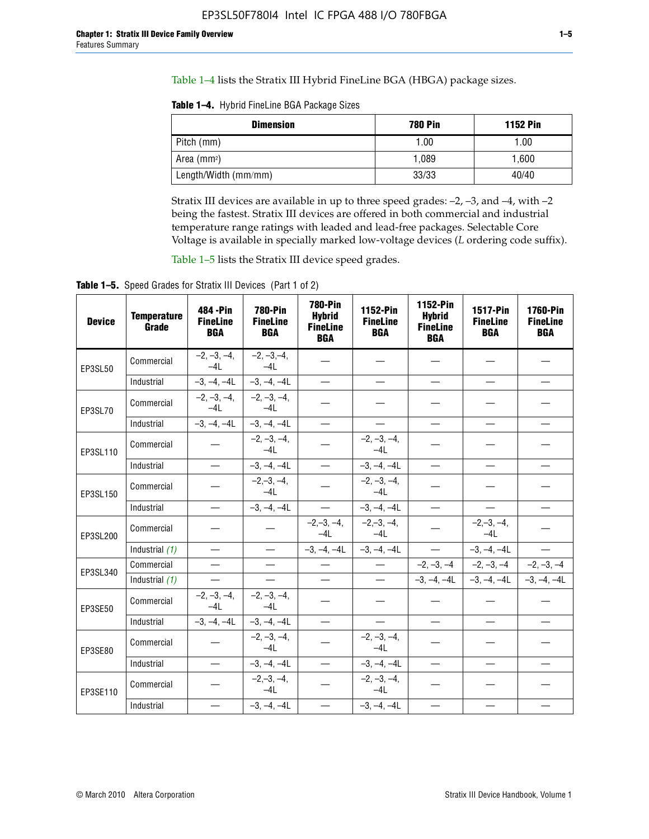Table 1–4 lists the Stratix III Hybrid FineLine BGA (HBGA) package sizes.

**Table 1–4.** Hybrid FineLine BGA Package Sizes

| <b>Dimension</b>     | <b>780 Pin</b> | <b>1152 Pin</b> |
|----------------------|----------------|-----------------|
| Pitch (mm)           | 1.00           | 1.00            |
| Area $(mm^2)$        | 1.089          | 1.600           |
| Length/Width (mm/mm) | 33/33          | 40/40           |

Stratix III devices are available in up to three speed grades: –2, –3, and –4, with –2 being the fastest. Stratix III devices are offered in both commercial and industrial temperature range ratings with leaded and lead-free packages. Selectable Core Voltage is available in specially marked low-voltage devices (*L* ordering code suffix).

Table 1–5 lists the Stratix III device speed grades.

Table 1-5. Speed Grades for Stratix III Devices (Part 1 of 2)

| <b>Device</b> | <b>Temperature</b><br>Grade | 484 - Pin<br><b>FineLine</b><br><b>BGA</b> | <b>780-Pin</b><br><b>FineLine</b><br><b>BGA</b> | <b>780-Pin</b><br><b>Hybrid</b><br><b>FineLine</b><br><b>BGA</b> | 1152-Pin<br><b>FineLine</b><br><b>BGA</b> | 1152-Pin<br><b>Hybrid</b><br><b>FineLine</b><br><b>BGA</b> | 1517-Pin<br><b>FineLine</b><br><b>BGA</b> | <b>1760-Pin</b><br><b>FineLine</b><br><b>BGA</b> |
|---------------|-----------------------------|--------------------------------------------|-------------------------------------------------|------------------------------------------------------------------|-------------------------------------------|------------------------------------------------------------|-------------------------------------------|--------------------------------------------------|
| EP3SL50       | Commercial                  | $-2, -3, -4,$<br>$-4L$                     | $-2, -3, -4,$<br>$-4L$                          |                                                                  |                                           |                                                            |                                           |                                                  |
|               | Industrial                  | $-3, -4, -4L$                              | $-3, -4, -4L$                                   | $\equiv$                                                         | $\equiv$                                  | $\overline{\phantom{0}}$                                   |                                           | $\overline{\phantom{0}}$                         |
| EP3SL70       | Commercial                  | $-2, -3, -4,$<br>$-4L$                     | $-2, -3, -4,$<br>$-41$                          |                                                                  |                                           |                                                            |                                           |                                                  |
|               | Industrial                  | $-3, -4, -4L$                              | $-3, -4, -4L$                                   | $\overbrace{\phantom{1232211}}$                                  |                                           | $\overline{\phantom{0}}$                                   | $\overline{\phantom{0}}$                  | $\overline{\phantom{0}}$                         |
| EP3SL110      | Commercial                  |                                            | $-2, -3, -4,$<br>$-4L$                          |                                                                  | $-2, -3, -4,$<br>$-4L$                    |                                                            |                                           |                                                  |
|               | Industrial                  | $\equiv$                                   | $-3, -4, -4L$                                   | $\frac{1}{1}$                                                    | $-3, -4, -4L$                             | $\frac{1}{2}$                                              |                                           | $\overline{\phantom{0}}$                         |
| EP3SL150      | Commercial                  |                                            | $-2, -3, -4,$<br>$-41$                          |                                                                  | $-2, -3, -4,$<br>$-41$                    |                                                            |                                           |                                                  |
|               | Industrial                  | $\overline{\phantom{m}}$                   | $-3, -4, -4L$                                   | $\equiv$                                                         | $-3, -4, -4L$                             | $\overline{\phantom{0}}$                                   | $\overline{\phantom{0}}$                  | $\overbrace{\phantom{12322111}}$                 |
| EP3SL200      | Commercial                  |                                            |                                                 | $-2, -3, -4,$<br>$-4L$                                           | $-2, -3, -4,$<br>$-4L$                    |                                                            | $-2,-3,-4,$<br>$-4L$                      |                                                  |
|               | Industrial (1)              | $\equiv$                                   | $\equiv$                                        | $-3, -4, -4L$                                                    | $-3, -4, -4L$                             | $\equiv$                                                   | $-3, -4, -4L$                             | $\equiv$                                         |
| EP3SL340      | Commercial                  |                                            | $\equiv$                                        |                                                                  | $\overline{\phantom{m}}$                  |                                                            | $-2, -3, -4$ $-2, -3, -4$                 | $-2, -3, -4$                                     |
|               | Industrial (1)              |                                            | $\equiv$                                        | $\qquad \qquad -$                                                | $\overline{\phantom{0}}$                  |                                                            | $-3, -4, -4$ $-3, -4, -4$                 | $-3, -4, -4L$                                    |
| EP3SE50       | Commercial                  | $-2, -3, -4,$<br>$-4L$                     | $-2, -3, -4,$<br>$-4L$                          |                                                                  |                                           |                                                            |                                           |                                                  |
|               | Industrial                  | $-3, -4, -4L$                              | $-3, -4, -4L$                                   |                                                                  | $\overline{\phantom{0}}$                  |                                                            | $\overline{\phantom{0}}$                  | $\overline{\phantom{0}}$                         |
| EP3SE80       | Commercial                  |                                            | $-2, -3, -4,$<br>$-41$                          |                                                                  | $-2, -3, -4,$<br>$-4L$                    |                                                            |                                           |                                                  |
|               | Industrial                  | $\overline{\phantom{m}}$                   | $-3, -4, -4L$                                   |                                                                  | $-3, -4, -4L$                             |                                                            | $\equiv$                                  |                                                  |
| EP3SE110      | Commercial                  |                                            | $-2, -3, -4,$<br>$-4L$                          |                                                                  | $-2, -3, -4,$<br>$-4L$                    |                                                            |                                           |                                                  |
|               | Industrial                  |                                            | $-3, -4, -4L$                                   | $\equiv$                                                         | $-3, -4, -4L$                             |                                                            |                                           |                                                  |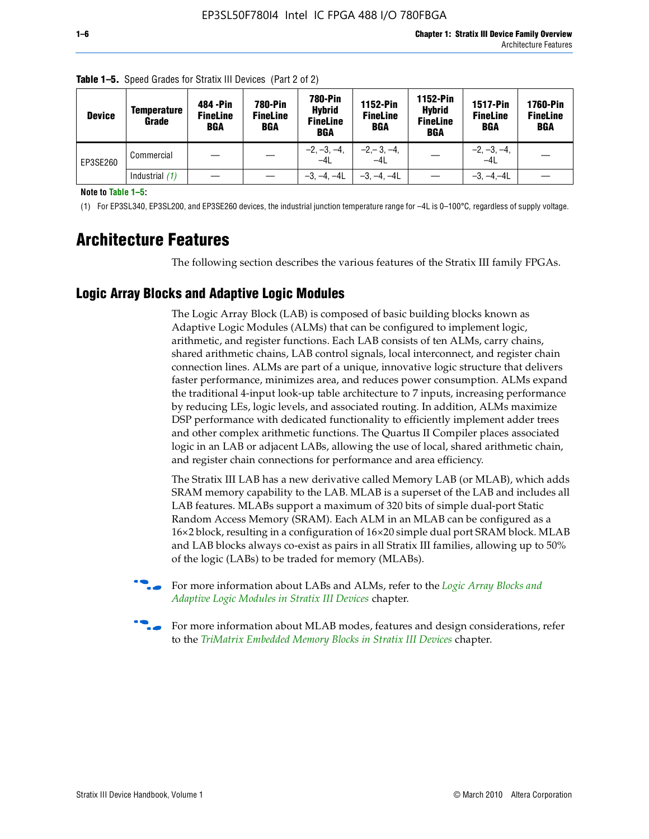| <b>Device</b> | Temperature<br>Grade | 484 - Pin<br><b>FineLine</b><br><b>BGA</b> | <b>780-Pin</b><br><b>FineLine</b><br>BGA | 780-Pin<br><b>Hybrid</b><br><b>FineLine</b><br><b>BGA</b> | 1152-Pin<br><b>FineLine</b><br><b>BGA</b> | 1152-Pin<br><b>Hybrid</b><br><b>FineLine</b><br><b>BGA</b> | <b>1517-Pin</b><br><b>FineLine</b><br>BGA | 1760-Pin<br><b>FineLine</b><br>BGA |
|---------------|----------------------|--------------------------------------------|------------------------------------------|-----------------------------------------------------------|-------------------------------------------|------------------------------------------------------------|-------------------------------------------|------------------------------------|
| EP3SE260      | Commercial           |                                            |                                          | $-2, -3, -4,$<br>$-4L$                                    | $-2, -3, -4,$<br>$-4L$                    |                                                            | $-2, -3, -4,$<br>$-4L$                    |                                    |
|               | Industrial $(1)$     |                                            |                                          | $-3, -4, -4L$                                             | $-3, -4, -4L$                             |                                                            | $-3, -4, -4L$                             |                                    |

**Table 1–5.** Speed Grades for Stratix III Devices (Part 2 of 2)

**Note to Table 1–5:**

(1) For EP3SL340, EP3SL200, and EP3SE260 devices, the industrial junction temperature range for –4L is 0–100°C, regardless of supply voltage.

# **Architecture Features**

The following section describes the various features of the Stratix III family FPGAs.

# **Logic Array Blocks and Adaptive Logic Modules**

The Logic Array Block (LAB) is composed of basic building blocks known as Adaptive Logic Modules (ALMs) that can be configured to implement logic, arithmetic, and register functions. Each LAB consists of ten ALMs, carry chains, shared arithmetic chains, LAB control signals, local interconnect, and register chain connection lines. ALMs are part of a unique, innovative logic structure that delivers faster performance, minimizes area, and reduces power consumption. ALMs expand the traditional 4-input look-up table architecture to 7 inputs, increasing performance by reducing LEs, logic levels, and associated routing. In addition, ALMs maximize DSP performance with dedicated functionality to efficiently implement adder trees and other complex arithmetic functions. The Quartus II Compiler places associated logic in an LAB or adjacent LABs, allowing the use of local, shared arithmetic chain, and register chain connections for performance and area efficiency.

The Stratix III LAB has a new derivative called Memory LAB (or MLAB), which adds SRAM memory capability to the LAB. MLAB is a superset of the LAB and includes all LAB features. MLABs support a maximum of 320 bits of simple dual-port Static Random Access Memory (SRAM). Each ALM in an MLAB can be configured as a 16×2 block, resulting in a configuration of 16×20 simple dual port SRAM block. MLAB and LAB blocks always co-exist as pairs in all Stratix III families, allowing up to 50% of the logic (LABs) to be traded for memory (MLABs).



f For more information about LABs and ALMs, refer to the *[Logic Array Blocks and](http://www.altera.com/literature/hb/stx3/stx3_siii51002.pdf)  [Adaptive Logic Modules in Stratix III Devices](http://www.altera.com/literature/hb/stx3/stx3_siii51002.pdf)* chapter.



For more information about MLAB modes, features and design considerations, refer to the *[TriMatrix Embedded Memory Blocks in Stratix III Devices](http://www.altera.com/literature/hb/stx3/stx3_siii51004.pdf)* chapter.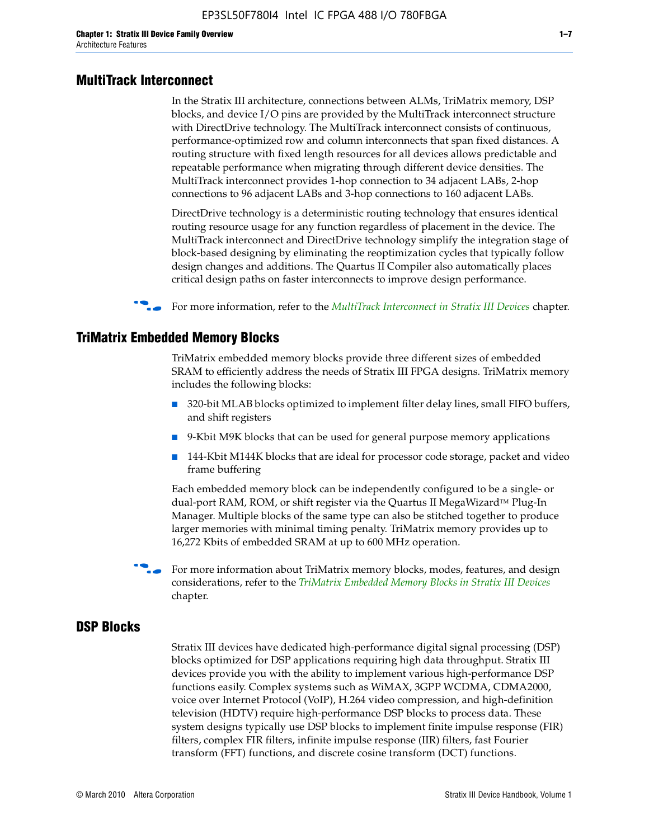#### **MultiTrack Interconnect**

In the Stratix III architecture, connections between ALMs, TriMatrix memory, DSP blocks, and device I/O pins are provided by the MultiTrack interconnect structure with DirectDrive technology. The MultiTrack interconnect consists of continuous, performance-optimized row and column interconnects that span fixed distances. A routing structure with fixed length resources for all devices allows predictable and repeatable performance when migrating through different device densities. The MultiTrack interconnect provides 1-hop connection to 34 adjacent LABs, 2-hop connections to 96 adjacent LABs and 3-hop connections to 160 adjacent LABs.

DirectDrive technology is a deterministic routing technology that ensures identical routing resource usage for any function regardless of placement in the device. The MultiTrack interconnect and DirectDrive technology simplify the integration stage of block-based designing by eliminating the reoptimization cycles that typically follow design changes and additions. The Quartus II Compiler also automatically places critical design paths on faster interconnects to improve design performance.

#### f For more information, refer to the *[MultiTrack Interconnect in Stratix III Devices](http://www.altera.com/literature/hb/stx3/stx3_siii51003.pdf)* chapter.

#### **TriMatrix Embedded Memory Blocks**

TriMatrix embedded memory blocks provide three different sizes of embedded SRAM to efficiently address the needs of Stratix III FPGA designs. TriMatrix memory includes the following blocks:

- 320-bit MLAB blocks optimized to implement filter delay lines, small FIFO buffers, and shift registers
- 9-Kbit M9K blocks that can be used for general purpose memory applications
- 144-Kbit M144K blocks that are ideal for processor code storage, packet and video frame buffering

Each embedded memory block can be independently configured to be a single- or dual-port RAM, ROM, or shift register via the Quartus II MegaWizard™ Plug-In Manager. Multiple blocks of the same type can also be stitched together to produce larger memories with minimal timing penalty. TriMatrix memory provides up to 16,272 Kbits of embedded SRAM at up to 600 MHz operation.

For more information about TriMatrix memory blocks, modes, features, and design considerations, refer to the *[TriMatrix Embedded Memory Blocks in Stratix III Devices](http://www.altera.com/literature/hb/stx3/stx3_siii51004.pdf)* chapter.

#### **DSP Blocks**

Stratix III devices have dedicated high-performance digital signal processing (DSP) blocks optimized for DSP applications requiring high data throughput. Stratix III devices provide you with the ability to implement various high-performance DSP functions easily. Complex systems such as WiMAX, 3GPP WCDMA, CDMA2000, voice over Internet Protocol (VoIP), H.264 video compression, and high-definition television (HDTV) require high-performance DSP blocks to process data. These system designs typically use DSP blocks to implement finite impulse response (FIR) filters, complex FIR filters, infinite impulse response (IIR) filters, fast Fourier transform (FFT) functions, and discrete cosine transform (DCT) functions.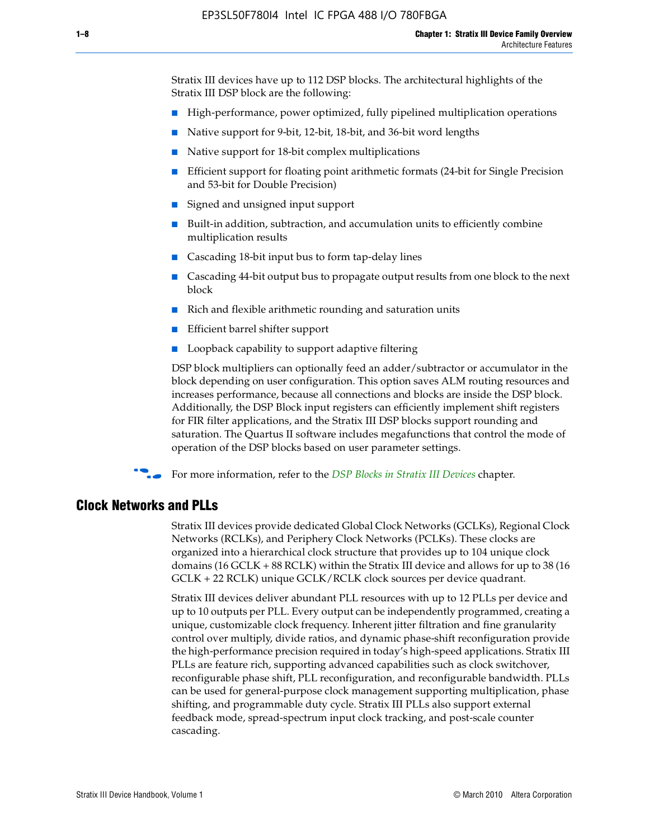Stratix III devices have up to 112 DSP blocks. The architectural highlights of the Stratix III DSP block are the following:

- High-performance, power optimized, fully pipelined multiplication operations
- Native support for 9-bit, 12-bit, 18-bit, and 36-bit word lengths
- Native support for 18-bit complex multiplications
- Efficient support for floating point arithmetic formats (24-bit for Single Precision and 53-bit for Double Precision)
- Signed and unsigned input support
- Built-in addition, subtraction, and accumulation units to efficiently combine multiplication results
- Cascading 18-bit input bus to form tap-delay lines
- Cascading 44-bit output bus to propagate output results from one block to the next block
- Rich and flexible arithmetic rounding and saturation units
- Efficient barrel shifter support
- Loopback capability to support adaptive filtering

DSP block multipliers can optionally feed an adder/subtractor or accumulator in the block depending on user configuration. This option saves ALM routing resources and increases performance, because all connections and blocks are inside the DSP block. Additionally, the DSP Block input registers can efficiently implement shift registers for FIR filter applications, and the Stratix III DSP blocks support rounding and saturation. The Quartus II software includes megafunctions that control the mode of operation of the DSP blocks based on user parameter settings.

f For more information, refer to the *[DSP Blocks in Stratix III Devices](http://www.altera.com/literature/hb/stx3/stx3_siii51005.pdf)* chapter.

#### **Clock Networks and PLLs**

Stratix III devices provide dedicated Global Clock Networks (GCLKs), Regional Clock Networks (RCLKs), and Periphery Clock Networks (PCLKs). These clocks are organized into a hierarchical clock structure that provides up to 104 unique clock domains (16 GCLK + 88 RCLK) within the Stratix III device and allows for up to 38 (16 GCLK + 22 RCLK) unique GCLK/RCLK clock sources per device quadrant.

Stratix III devices deliver abundant PLL resources with up to 12 PLLs per device and up to 10 outputs per PLL. Every output can be independently programmed, creating a unique, customizable clock frequency. Inherent jitter filtration and fine granularity control over multiply, divide ratios, and dynamic phase-shift reconfiguration provide the high-performance precision required in today's high-speed applications. Stratix III PLLs are feature rich, supporting advanced capabilities such as clock switchover, reconfigurable phase shift, PLL reconfiguration, and reconfigurable bandwidth. PLLs can be used for general-purpose clock management supporting multiplication, phase shifting, and programmable duty cycle. Stratix III PLLs also support external feedback mode, spread-spectrum input clock tracking, and post-scale counter cascading.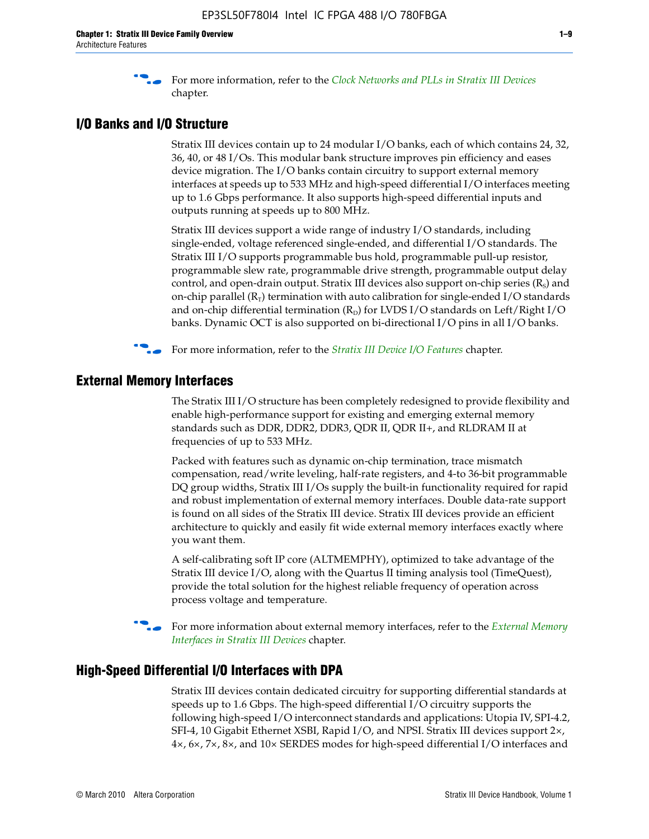f For more information, refer to the *[Clock Networks and PLLs in Stratix III Devices](http://www.altera.com/literature/hb/stx3/stx3_siii51006.pdf)* chapter.

### **I/O Banks and I/O Structure**

Stratix III devices contain up to 24 modular I/O banks, each of which contains 24, 32, 36, 40, or 48 I/Os. This modular bank structure improves pin efficiency and eases device migration. The I/O banks contain circuitry to support external memory interfaces at speeds up to 533 MHz and high-speed differential I/O interfaces meeting up to 1.6 Gbps performance. It also supports high-speed differential inputs and outputs running at speeds up to 800 MHz.

Stratix III devices support a wide range of industry I/O standards, including single-ended, voltage referenced single-ended, and differential I/O standards. The Stratix III I/O supports programmable bus hold, programmable pull-up resistor, programmable slew rate, programmable drive strength, programmable output delay control, and open-drain output. Stratix III devices also support on-chip series  $(R<sub>s</sub>)$  and on-chip parallel  $(R_T)$  termination with auto calibration for single-ended I/O standards and on-chip differential termination  $(R_D)$  for LVDS I/O standards on Left/Right I/O banks. Dynamic OCT is also supported on bi-directional I/O pins in all I/O banks.

**For more information, refer to the** *[Stratix III Device I/O Features](http://www.altera.com/literature/hb/stx3/stx3_siii51007.pdf)* **chapter.** 

# **External Memory Interfaces**

The Stratix III I/O structure has been completely redesigned to provide flexibility and enable high-performance support for existing and emerging external memory standards such as DDR, DDR2, DDR3, QDR II, QDR II+, and RLDRAM II at frequencies of up to 533 MHz.

Packed with features such as dynamic on-chip termination, trace mismatch compensation, read/write leveling, half-rate registers, and 4-to 36-bit programmable DQ group widths, Stratix III I/Os supply the built-in functionality required for rapid and robust implementation of external memory interfaces. Double data-rate support is found on all sides of the Stratix III device. Stratix III devices provide an efficient architecture to quickly and easily fit wide external memory interfaces exactly where you want them.

A self-calibrating soft IP core (ALTMEMPHY), optimized to take advantage of the Stratix III device I/O, along with the Quartus II timing analysis tool (TimeQuest), provide the total solution for the highest reliable frequency of operation across process voltage and temperature.

f For more information about external memory interfaces, refer to the *[External Memory](http://www.altera.com/literature/hb/stx3/stx3_siii51008.pdf)  [Interfaces in Stratix III Devices](http://www.altera.com/literature/hb/stx3/stx3_siii51008.pdf)* chapter.

#### **High-Speed Differential I/O Interfaces with DPA**

Stratix III devices contain dedicated circuitry for supporting differential standards at speeds up to 1.6 Gbps. The high-speed differential I/O circuitry supports the following high-speed I/O interconnect standards and applications: Utopia IV, SPI-4.2, SFI-4, 10 Gigabit Ethernet XSBI, Rapid I/O, and NPSI. Stratix III devices support 2×, 4×, 6×, 7×, 8×, and 10× SERDES modes for high-speed differential I/O interfaces and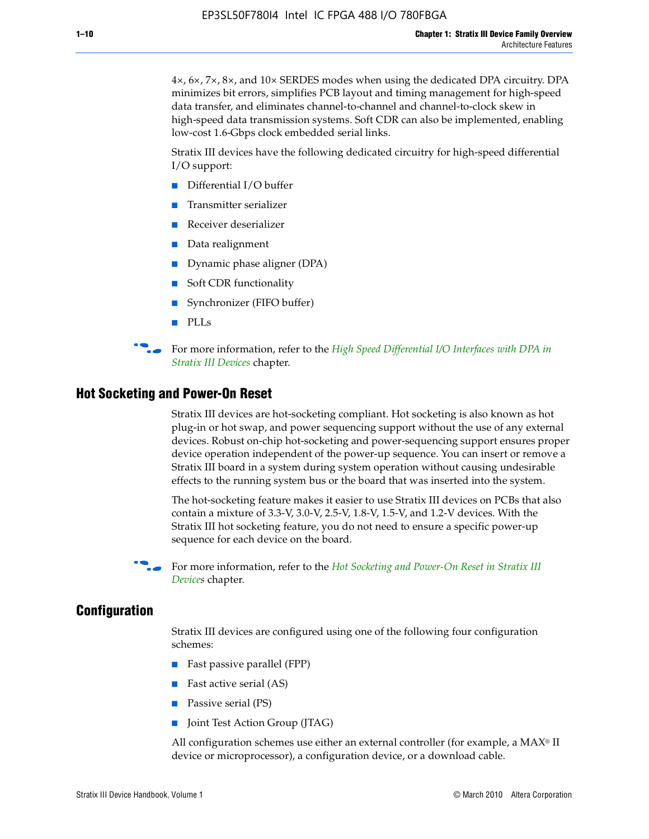4×, 6×, 7×, 8×, and 10× SERDES modes when using the dedicated DPA circuitry. DPA minimizes bit errors, simplifies PCB layout and timing management for high-speed data transfer, and eliminates channel-to-channel and channel-to-clock skew in high-speed data transmission systems. Soft CDR can also be implemented, enabling low-cost 1.6-Gbps clock embedded serial links.

Stratix III devices have the following dedicated circuitry for high-speed differential I/O support:

- Differential I/O buffer
- Transmitter serializer
- Receiver deserializer
- Data realignment
- Dynamic phase aligner (DPA)
- Soft CDR functionality
- Synchronizer (FIFO buffer)
- PLLs

**for more information, refer to the** *High Speed Differential I/O Interfaces with DPA in [Stratix III Devices](http://www.altera.com/literature/hb/stx3/stx3_siii51009.pdf)* chapter.

#### **Hot Socketing and Power-On Reset**

Stratix III devices are hot-socketing compliant. Hot socketing is also known as hot plug-in or hot swap, and power sequencing support without the use of any external devices. Robust on-chip hot-socketing and power-sequencing support ensures proper device operation independent of the power-up sequence. You can insert or remove a Stratix III board in a system during system operation without causing undesirable effects to the running system bus or the board that was inserted into the system.

The hot-socketing feature makes it easier to use Stratix III devices on PCBs that also contain a mixture of 3.3-V, 3.0-V, 2.5-V, 1.8-V, 1.5-V, and 1.2-V devices. With the Stratix III hot socketing feature, you do not need to ensure a specific power-up sequence for each device on the board.

For more information, refer to the *Hot Socketing and Power-On Reset in Stratix III [Device](http://www.altera.com/literature/hb/stx3/stx3_siii51010.pdf)s* chapter.

#### **Configuration**

Stratix III devices are configured using one of the following four configuration schemes:

- Fast passive parallel (FPP)
- Fast active serial (AS)
- Passive serial (PS)
- Joint Test Action Group (JTAG)

All configuration schemes use either an external controller (for example, a  $MAX<sup>®</sup>$  II device or microprocessor), a configuration device, or a download cable.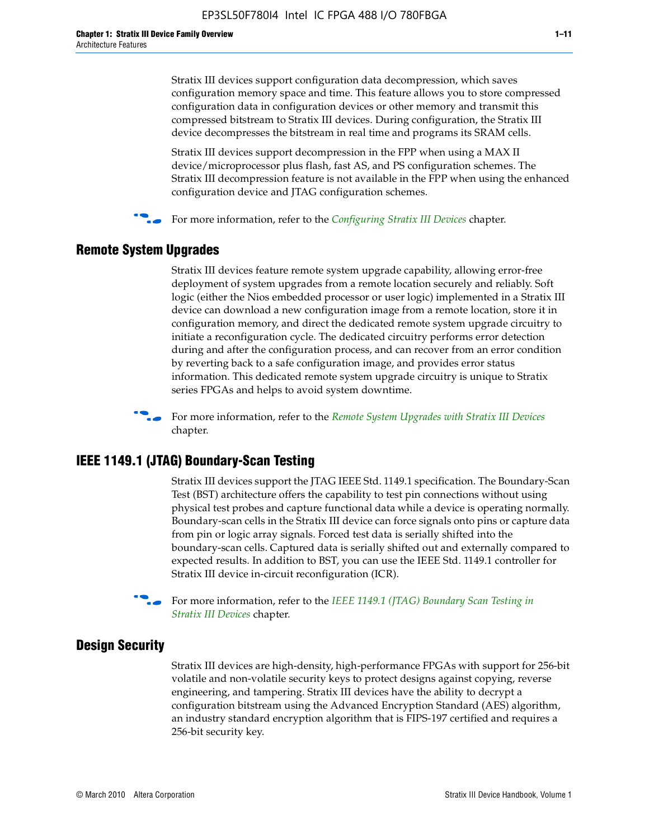Stratix III devices support configuration data decompression, which saves configuration memory space and time. This feature allows you to store compressed configuration data in configuration devices or other memory and transmit this compressed bitstream to Stratix III devices. During configuration, the Stratix III device decompresses the bitstream in real time and programs its SRAM cells.

Stratix III devices support decompression in the FPP when using a MAX II device/microprocessor plus flash, fast AS, and PS configuration schemes. The Stratix III decompression feature is not available in the FPP when using the enhanced configuration device and JTAG configuration schemes.

For more information, refer to the *[Configuring Stratix III Devices](http://www.altera.com/literature/hb/stx3/stx3_siii51011.pdf)* chapter.

## **Remote System Upgrades**

Stratix III devices feature remote system upgrade capability, allowing error-free deployment of system upgrades from a remote location securely and reliably. Soft logic (either the Nios embedded processor or user logic) implemented in a Stratix III device can download a new configuration image from a remote location, store it in configuration memory, and direct the dedicated remote system upgrade circuitry to initiate a reconfiguration cycle. The dedicated circuitry performs error detection during and after the configuration process, and can recover from an error condition by reverting back to a safe configuration image, and provides error status information. This dedicated remote system upgrade circuitry is unique to Stratix series FPGAs and helps to avoid system downtime.



**For more information, refer to the** *[Remote System Upgrades with Stratix III Devices](http://www.altera.com/literature/hb/stx3/stx3_siii51012.pdf)* chapter.

# **IEEE 1149.1 (JTAG) Boundary-Scan Testing**

Stratix III devices support the JTAG IEEE Std. 1149.1 specification. The Boundary-Scan Test (BST) architecture offers the capability to test pin connections without using physical test probes and capture functional data while a device is operating normally. Boundary-scan cells in the Stratix III device can force signals onto pins or capture data from pin or logic array signals. Forced test data is serially shifted into the boundary-scan cells. Captured data is serially shifted out and externally compared to expected results. In addition to BST, you can use the IEEE Std. 1149.1 controller for Stratix III device in-circuit reconfiguration (ICR).

For more information, refer to the *IEEE 1149.1 (JTAG) Boundary Scan Testing in [Stratix III Devices](http://www.altera.com/literature/hb/stx3/stx3_siii51013.pdf)* chapter.

## **Design Security**

Stratix III devices are high-density, high-performance FPGAs with support for 256-bit volatile and non-volatile security keys to protect designs against copying, reverse engineering, and tampering. Stratix III devices have the ability to decrypt a configuration bitstream using the Advanced Encryption Standard (AES) algorithm, an industry standard encryption algorithm that is FIPS-197 certified and requires a 256-bit security key.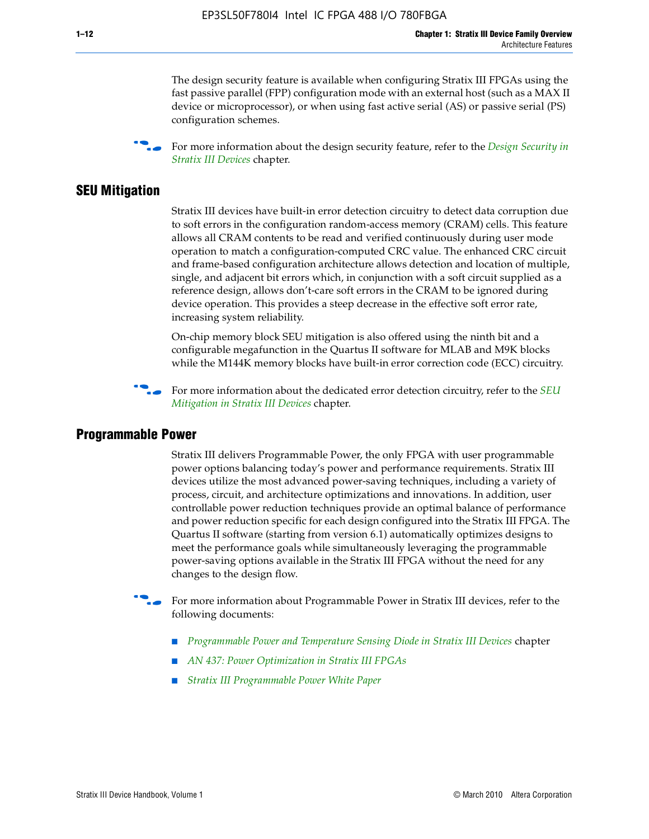The design security feature is available when configuring Stratix III FPGAs using the fast passive parallel (FPP) configuration mode with an external host (such as a MAX II device or microprocessor), or when using fast active serial (AS) or passive serial (PS) configuration schemes.

f For more information about the design security feature, refer to the *[Design Security in](http://www.altera.com/literature/hb/stx3/stx3_siii51014.pdf)  [Stratix III Devices](http://www.altera.com/literature/hb/stx3/stx3_siii51014.pdf)* chapter.

#### **SEU Mitigation**

Stratix III devices have built-in error detection circuitry to detect data corruption due to soft errors in the configuration random-access memory (CRAM) cells. This feature allows all CRAM contents to be read and verified continuously during user mode operation to match a configuration-computed CRC value. The enhanced CRC circuit and frame-based configuration architecture allows detection and location of multiple, single, and adjacent bit errors which, in conjunction with a soft circuit supplied as a reference design, allows don't-care soft errors in the CRAM to be ignored during device operation. This provides a steep decrease in the effective soft error rate, increasing system reliability.

On-chip memory block SEU mitigation is also offered using the ninth bit and a configurable megafunction in the Quartus II software for MLAB and M9K blocks while the M144K memory blocks have built-in error correction code (ECC) circuitry.

For more information about the dedicated error detection circuitry, refer to the *SEU [Mitigation in Stratix III Devices](http://www.altera.com/literature/hb/stx3/stx3_siii51015.pdf)* chapter.

#### **Programmable Power**

Stratix III delivers Programmable Power, the only FPGA with user programmable power options balancing today's power and performance requirements. Stratix III devices utilize the most advanced power-saving techniques, including a variety of process, circuit, and architecture optimizations and innovations. In addition, user controllable power reduction techniques provide an optimal balance of performance and power reduction specific for each design configured into the Stratix III FPGA. The Quartus II software (starting from version 6.1) automatically optimizes designs to meet the performance goals while simultaneously leveraging the programmable power-saving options available in the Stratix III FPGA without the need for any changes to the design flow.

For more information about Programmable Power in Stratix III devices, refer to the following documents:

- *[Programmable Power and Temperature Sensing Diode in Stratix III Devices](http://www.altera.com/literature/hb/stx3/stx3_siii51016.pdf)* chapter
- *[AN 437: Power Optimization in Stratix III FPGAs](http://www.altera.com/literature/an/AN437.pdf)*
- *[Stratix III Programmable Power White Paper](http://www.altera.com/literature/wp/wp-01006.pdf)*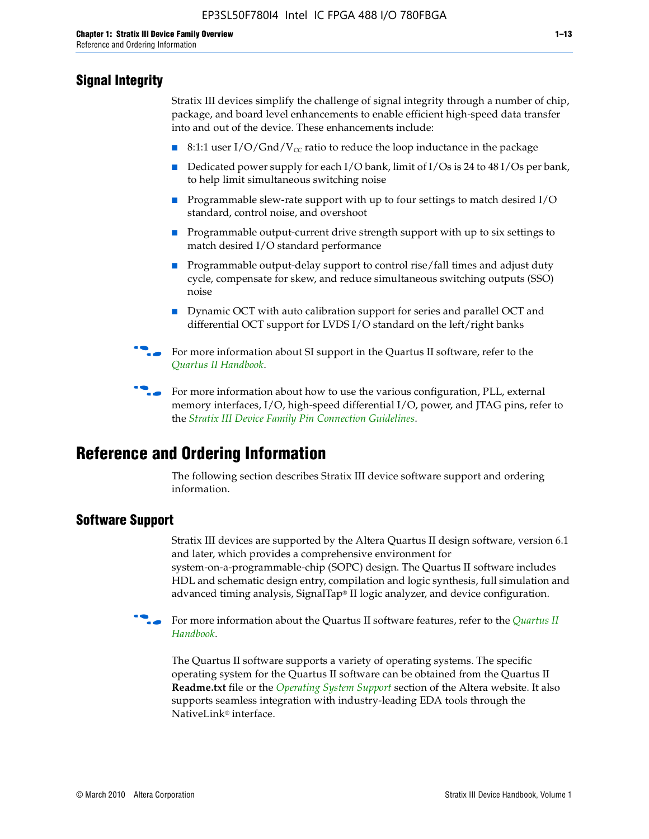# **Signal Integrity**

Stratix III devices simplify the challenge of signal integrity through a number of chip, package, and board level enhancements to enable efficient high-speed data transfer into and out of the device. These enhancements include:

- 8:1:1 user I/O/Gnd/V<sub>cc</sub> ratio to reduce the loop inductance in the package
- Dedicated power supply for each I/O bank, limit of I/Os is 24 to 48 I/Os per bank, to help limit simultaneous switching noise
- Programmable slew-rate support with up to four settings to match desired I/O standard, control noise, and overshoot
- Programmable output-current drive strength support with up to six settings to match desired I/O standard performance
- Programmable output-delay support to control rise/fall times and adjust duty cycle, compensate for skew, and reduce simultaneous switching outputs (SSO) noise
- Dynamic OCT with auto calibration support for series and parallel OCT and differential OCT support for LVDS I/O standard on the left/right banks
- For mor[e](http://www.altera.com/literature/hb/qts/quartusii_handbook.pdf) information about SI support in the Quartus II software, refer to the *[Quartus II Handbook](http://www.altera.com/literature/hb/qts/quartusii_handbook.pdf)*.

For more information about how to use the various configuration, PLL, external memory interfaces, I/O, high-speed differential I/O, power, and JTAG pins, refer to the *[Stratix III Device Family Pin Connection Guidelines](http://www.altera.com/literature/dp/stx3/PCG-01004.pdf)*.

# **Reference and Ordering Information**

The following section describes Stratix III device software support and ordering information.

## **Software Support**

Stratix III devices are supported by the Altera Quartus II design software, version 6.1 and later, which provides a comprehensive environment for system-on-a-programmable-chip (SOPC) design. The Quartus II software includes HDL and schematic design entry, compilation and logic synthesis, full simulation and advanced timing analysis, SignalTap® II logic analyzer, and device configuration.

**For more information about the [Quartus II](http://www.altera.com/literature/hb/qts/quartusii_handbook.pdf) software features, refer to the** *Quartus II* **<b>Fig. 7** *[Handbook](http://www.altera.com/literature/hb/qts/quartusii_handbook.pdf)*.

The Quartus II software supports a variety of operating systems. The specific operating system for the Quartus II software can be obtained from the Quartus II **Readme.txt** file or the *[Operating System Support](http://www.altera.com/support/software/os_support/oss-index.html)* section of the Altera website. It also supports seamless integration with industry-leading EDA tools through the NativeLink® interface.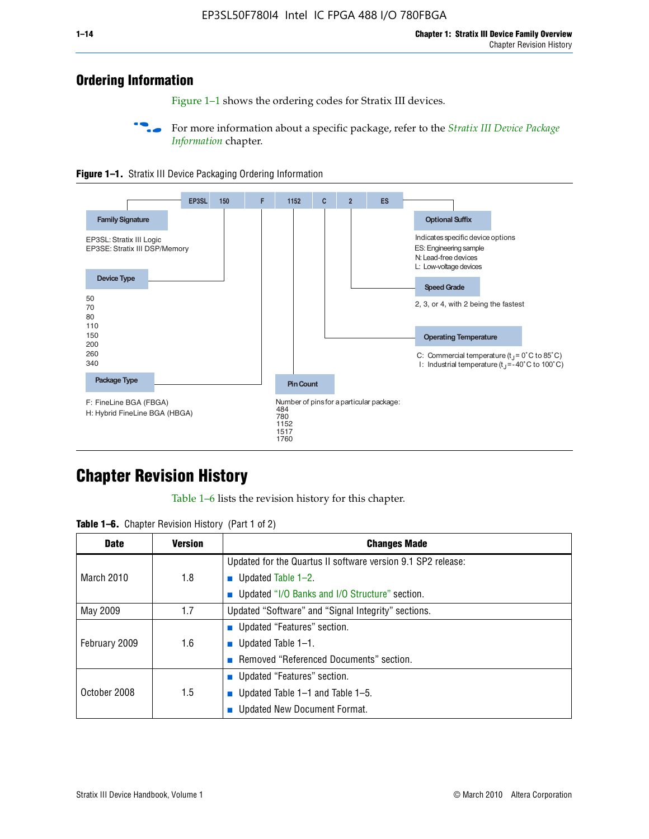# **Ordering Information**

Figure 1–1 shows the ordering codes for Stratix III devices.

For more information about a specific package, refer to the *Stratix III Device Package [Information](http://www.altera.com/literature/hb/stx3/stx3_siii51017.pdf)* chapter.





# **[C](http://www.altera.com/literature/hb/stx3/stx3_siii51012.pdf)hapter Revision History**

Table 1–6 lists the revision history for this chapter.

| <b>Table 1–6.</b> Chapter Revision History (Part 1 of 2) |  |  |  |  |  |
|----------------------------------------------------------|--|--|--|--|--|
|----------------------------------------------------------|--|--|--|--|--|

| <b>Date</b>       | <b>Version</b> | <b>Changes Made</b>                                          |
|-------------------|----------------|--------------------------------------------------------------|
|                   |                | Updated for the Quartus II software version 9.1 SP2 release: |
| <b>March 2010</b> | 1.8            | <b>u</b> Updated Table $1-2$ .                               |
|                   |                | ■ Updated "I/O Banks and I/O Structure" section.             |
| May 2009          | 1.7            | Updated "Software" and "Signal Integrity" sections.          |
|                   |                | ■ Updated "Features" section.                                |
| February 2009     | 1.6            | <b>u</b> Updated Table $1-1$ .                               |
|                   |                | Removed "Referenced Documents" section.                      |
|                   |                | ■ Updated "Features" section.                                |
| October 2008      | 1.5            | ■ Updated Table $1-1$ and Table $1-5$ .                      |
|                   |                | Updated New Document Format.                                 |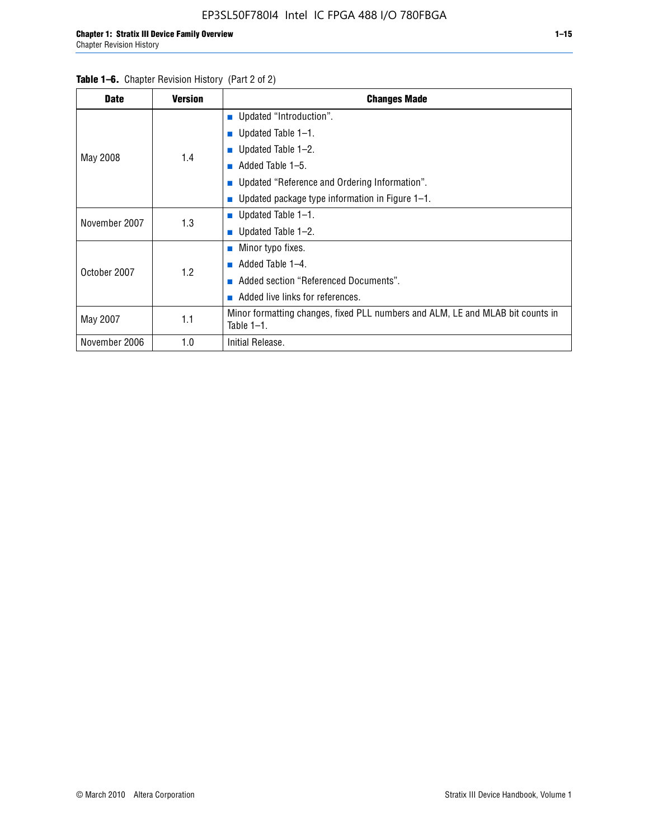| <b>Date</b>   | <b>Version</b> | <b>Changes Made</b>                                                                             |
|---------------|----------------|-------------------------------------------------------------------------------------------------|
|               |                | <b>Updated "Introduction".</b>                                                                  |
|               |                | $\blacksquare$ Updated Table 1-1.                                                               |
|               | 1.4            | ■ Updated Table $1-2$ .                                                                         |
| May 2008      |                | Added Table 1-5.<br><b>COL</b>                                                                  |
|               |                | ■ Updated "Reference and Ordering Information".                                                 |
|               |                | Updated package type information in Figure 1-1.                                                 |
| November 2007 | 1.3            | ■ Updated Table $1-1$ .                                                                         |
|               |                | ■ Updated Table $1-2$ .                                                                         |
|               |                | $\blacksquare$ Minor typo fixes.                                                                |
| October 2007  | 1.2            | Added Table 1-4.                                                                                |
|               |                | Added section "Referenced Documents".                                                           |
|               |                | Added live links for references.                                                                |
| May 2007      | 1.1            | Minor formatting changes, fixed PLL numbers and ALM, LE and MLAB bit counts in<br>Table $1-1$ . |
| November 2006 | 1.0            | Initial Release.                                                                                |